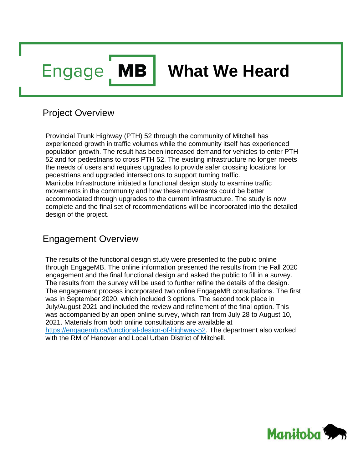**MB Engage** 

# **What We Heard**

# Project Overview

Provincial Trunk Highway (PTH) 52 through the community of Mitchell has experienced growth in traffic volumes while the community itself has experienced population growth. The result has been increased demand for vehicles to enter PTH 52 and for pedestrians to cross PTH 52. The existing infrastructure no longer meets the needs of users and requires upgrades to provide safer crossing locations for pedestrians and upgraded intersections to support turning traffic. Manitoba Infrastructure initiated a functional design study to examine traffic movements in the community and how these movements could be better accommodated through upgrades to the current infrastructure. The study is now complete and the final set of recommendations will be incorporated into the detailed design of the project.

# Engagement Overview

The results of the functional design study were presented to the public online through EngageMB. The online information presented the results from the Fall 2020 engagement and the final functional design and asked the public to fill in a survey. The results from the survey will be used to further refine the details of the design. The engagement process incorporated two online EngageMB consultations. The first was in September 2020, which included 3 options. The second took place in July/August 2021 and included the review and refinement of the final option. This was accompanied by an open online survey, which ran from July 28 to August 10, 2021. Materials from both online consultations are available at [https://engagemb.ca/functional-design-of-highway-52.](https://engagemb.ca/functional-design-of-highway-52) The department also worked with the RM of Hanover and Local Urban District of Mitchell.

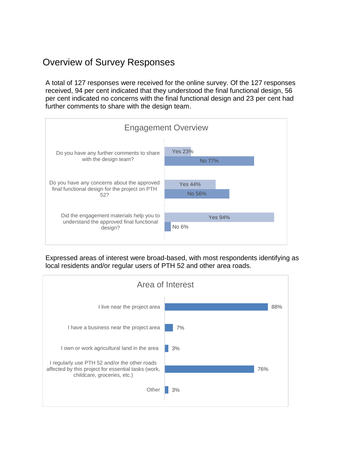# Overview of Survey Responses

A total of 127 responses were received for the online survey. Of the 127 responses received, 94 per cent indicated that they understood the final functional design, 56 per cent indicated no concerns with the final functional design and 23 per cent had further comments to share with the design team.



Expressed areas of interest were broad-based, with most respondents identifying as local residents and/or regular users of PTH 52 and other area roads.

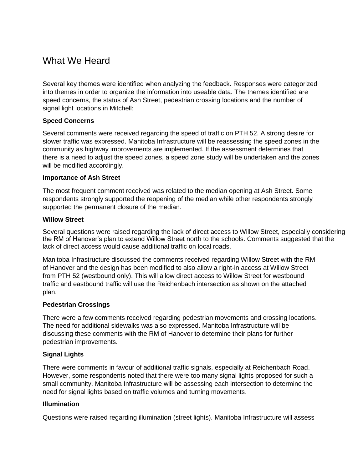# What We Heard

Several key themes were identified when analyzing the feedback. Responses were categorized into themes in order to organize the information into useable data. The themes identified are speed concerns, the status of Ash Street, pedestrian crossing locations and the number of signal light locations in Mitchell:

#### **Speed Concerns**

Several comments were received regarding the speed of traffic on PTH 52. A strong desire for slower traffic was expressed. Manitoba Infrastructure will be reassessing the speed zones in the community as highway improvements are implemented. If the assessment determines that there is a need to adjust the speed zones, a speed zone study will be undertaken and the zones will be modified accordingly.

#### **Importance of Ash Street**

The most frequent comment received was related to the median opening at Ash Street. Some respondents strongly supported the reopening of the median while other respondents strongly supported the permanent closure of the median.

#### **Willow Street**

Several questions were raised regarding the lack of direct access to Willow Street, especially considering the RM of Hanover's plan to extend Willow Street north to the schools. Comments suggested that the lack of direct access would cause additional traffic on local roads.

Manitoba Infrastructure discussed the comments received regarding Willow Street with the RM of Hanover and the design has been modified to also allow a right-in access at Willow Street from PTH 52 (westbound only). This will allow direct access to Willow Street for westbound traffic and eastbound traffic will use the Reichenbach intersection as shown on the attached plan.

#### **Pedestrian Crossings**

There were a few comments received regarding pedestrian movements and crossing locations. The need for additional sidewalks was also expressed. Manitoba Infrastructure will be discussing these comments with the RM of Hanover to determine their plans for further pedestrian improvements.

#### **Signal Lights**

There were comments in favour of additional traffic signals, especially at Reichenbach Road. However, some respondents noted that there were too many signal lights proposed for such a small community. Manitoba Infrastructure will be assessing each intersection to determine the need for signal lights based on traffic volumes and turning movements.

#### **Illumination**

Questions were raised regarding illumination (street lights). Manitoba Infrastructure will assess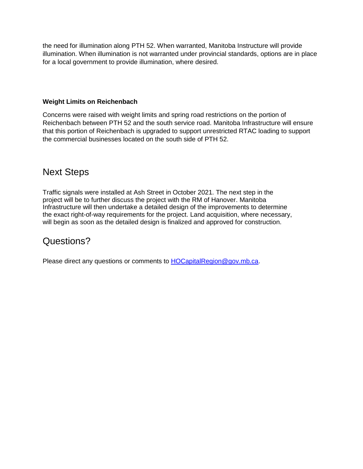the need for illumination along PTH 52. When warranted, Manitoba Instructure will provide illumination. When illumination is not warranted under provincial standards, options are in place for a local government to provide illumination, where desired.

#### **Weight Limits on Reichenbach**

Concerns were raised with weight limits and spring road restrictions on the portion of Reichenbach between PTH 52 and the south service road. Manitoba Infrastructure will ensure that this portion of Reichenbach is upgraded to support unrestricted RTAC loading to support the commercial businesses located on the south side of PTH 52.

# Next Steps

Traffic signals were installed at Ash Street in October 2021. The next step in the project will be to further discuss the project with the RM of Hanover. Manitoba Infrastructure will then undertake a detailed design of the improvements to determine the exact right-of-way requirements for the project. Land acquisition, where necessary, will begin as soon as the detailed design is finalized and approved for construction.

# Questions?

Please direct any questions or comments to [HOCapitalRegion@gov.mb.ca.](mailto:HOCapitalRegion@gov.mb.ca)